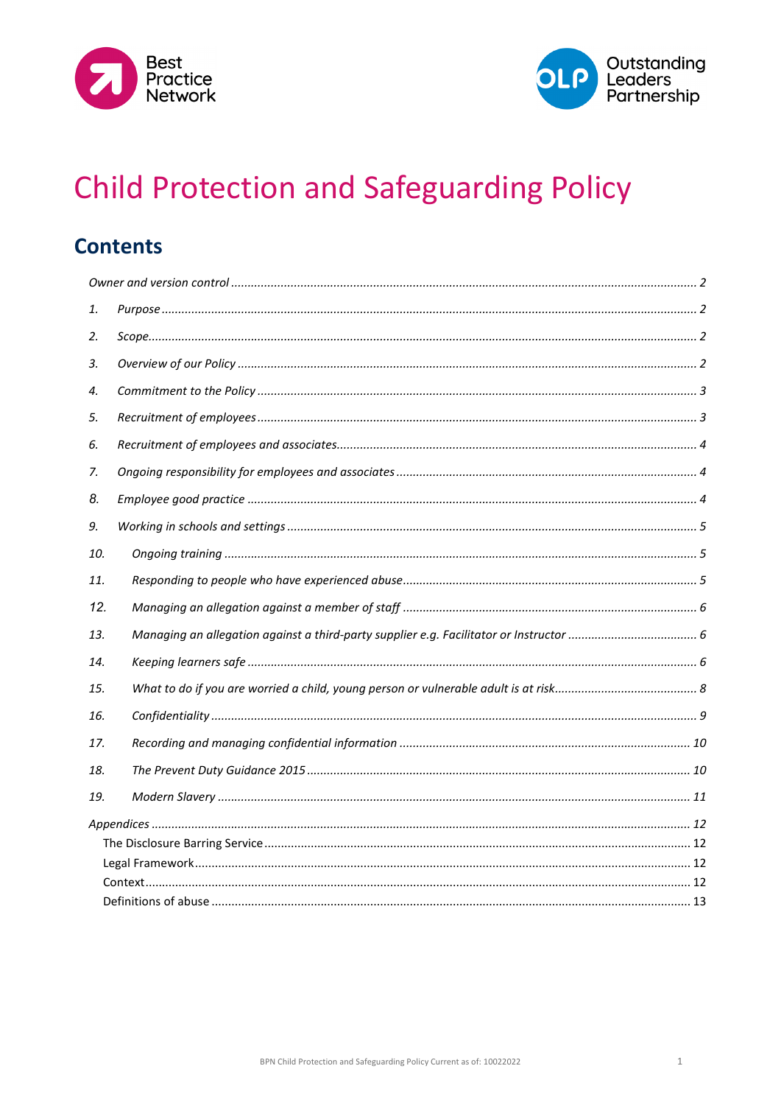



# **Child Protection and Safeguarding Policy**

### **Contents**

| 1.  |  |  |  |  |
|-----|--|--|--|--|
| 2.  |  |  |  |  |
| 3.  |  |  |  |  |
| 4.  |  |  |  |  |
| 5.  |  |  |  |  |
| 6.  |  |  |  |  |
| 7.  |  |  |  |  |
| 8.  |  |  |  |  |
| 9.  |  |  |  |  |
| 10. |  |  |  |  |
| 11. |  |  |  |  |
| 12. |  |  |  |  |
| 13. |  |  |  |  |
| 14. |  |  |  |  |
| 15. |  |  |  |  |
| 16. |  |  |  |  |
| 17. |  |  |  |  |
| 18. |  |  |  |  |
| 19. |  |  |  |  |
|     |  |  |  |  |
|     |  |  |  |  |
|     |  |  |  |  |
|     |  |  |  |  |
|     |  |  |  |  |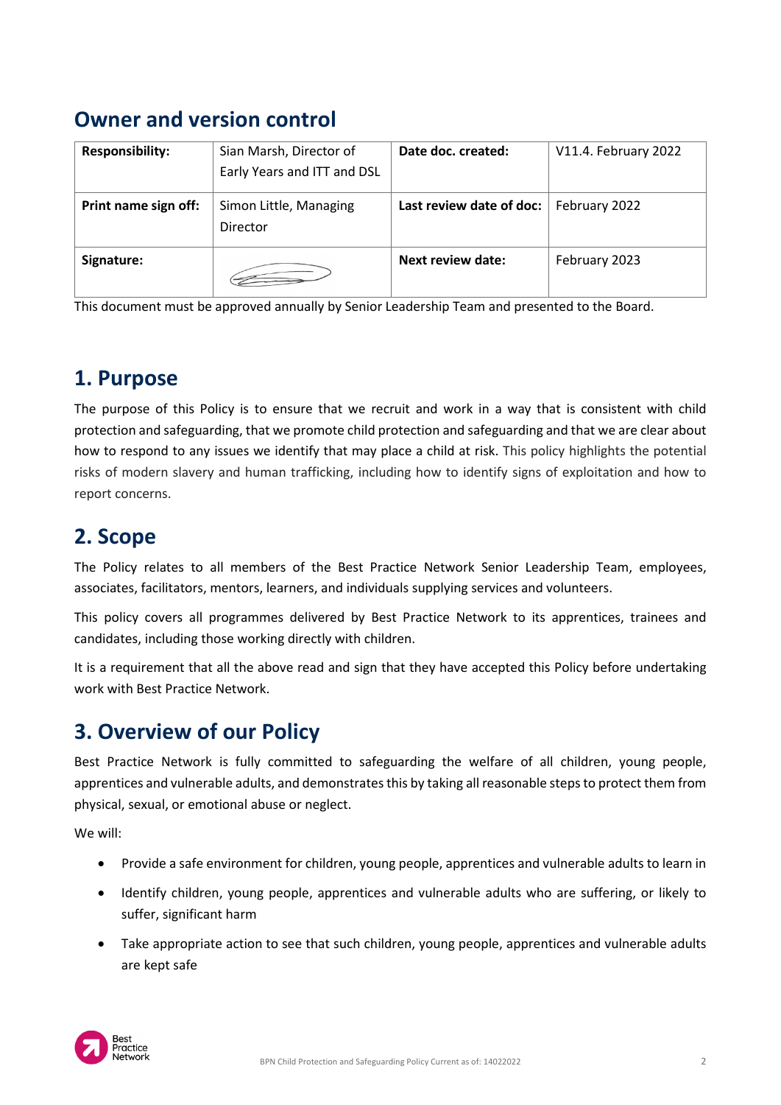### <span id="page-1-0"></span>**Owner and version control**

| <b>Responsibility:</b> | Sian Marsh, Director of<br>Early Years and ITT and DSL | Date doc. created:       | V11.4. February 2022 |
|------------------------|--------------------------------------------------------|--------------------------|----------------------|
| Print name sign off:   | Simon Little, Managing<br>Director                     | Last review date of doc: | February 2022        |
| Signature:             |                                                        | Next review date:        | February 2023        |

This document must be approved annually by Senior Leadership Team and presented to the Board.

#### <span id="page-1-1"></span>**1. Purpose**

The purpose of this Policy is to ensure that we recruit and work in a way that is consistent with child protection and safeguarding, that we promote child protection and safeguarding and that we are clear about how to respond to any issues we identify that may place a child at risk. This policy highlights the potential risks of modern slavery and human trafficking, including how to identify signs of exploitation and how to report concerns.

# <span id="page-1-2"></span>**2. Scope**

The Policy relates to all members of the Best Practice Network Senior Leadership Team, employees, associates, facilitators, mentors, learners, and individuals supplying services and volunteers.

This policy covers all programmes delivered by Best Practice Network to its apprentices, trainees and candidates, including those working directly with children.

It is a requirement that all the above read and sign that they have accepted this Policy before undertaking work with Best Practice Network.

### <span id="page-1-3"></span>**3. Overview of our Policy**

Best Practice Network is fully committed to safeguarding the welfare of all children, young people, apprentices and vulnerable adults, and demonstratesthis by taking all reasonable stepsto protect them from physical, sexual, or emotional abuse or neglect.

We will:

- Provide a safe environment for children, young people, apprentices and vulnerable adults to learn in
- Identify children, young people, apprentices and vulnerable adults who are suffering, or likely to suffer, significant harm
- Take appropriate action to see that such children, young people, apprentices and vulnerable adults are kept safe

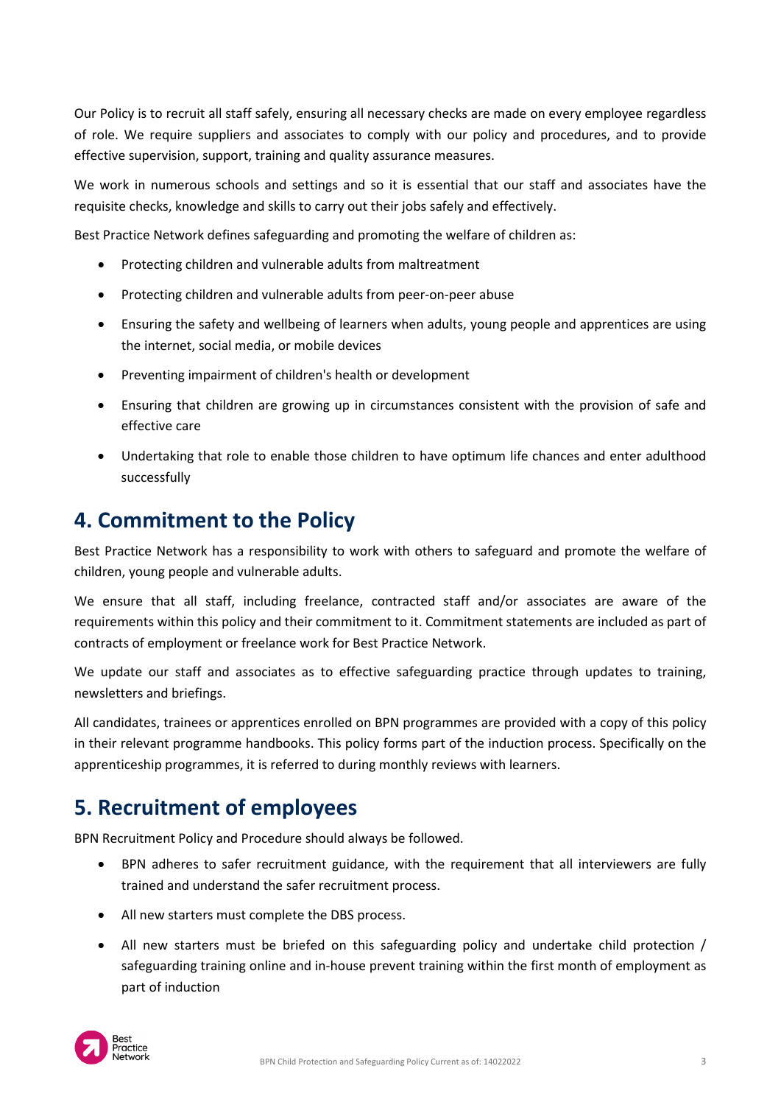Our Policy is to recruit all staff safely, ensuring all necessary checks are made on every employee regardless of role. We require suppliers and associates to comply with our policy and procedures, and to provide effective supervision, support, training and quality assurance measures.

We work in numerous schools and settings and so it is essential that our staff and associates have the requisite checks, knowledge and skills to carry out their jobs safely and effectively.

Best Practice Network defines safeguarding and promoting the welfare of children as:

- Protecting children and vulnerable adults from maltreatment
- Protecting children and vulnerable adults from peer-on-peer abuse
- Ensuring the safety and wellbeing of learners when adults, young people and apprentices are using the internet, social media, or mobile devices
- Preventing impairment of children's health or development
- Ensuring that children are growing up in circumstances consistent with the provision of safe and effective care
- Undertaking that role to enable those children to have optimum life chances and enter adulthood successfully

#### <span id="page-2-0"></span>**4. Commitment to the Policy**

Best Practice Network has a responsibility to work with others to safeguard and promote the welfare of children, young people and vulnerable adults.

We ensure that all staff, including freelance, contracted staff and/or associates are aware of the requirements within this policy and their commitment to it. Commitment statements are included as part of contracts of employment or freelance work for Best Practice Network.

We update our staff and associates as to effective safeguarding practice through updates to training, newsletters and briefings.

All candidates, trainees or apprentices enrolled on BPN programmes are provided with a copy of this policy in their relevant programme handbooks. This policy forms part of the induction process. Specifically on the apprenticeship programmes, it is referred to during monthly reviews with learners.

### <span id="page-2-1"></span>**5. Recruitment of employees**

BPN Recruitment Policy and Procedure should always be followed.

- BPN adheres to safer recruitment guidance, with the requirement that all interviewers are fully trained and understand the safer recruitment process.
- All new starters must complete the DBS process.
- All new starters must be briefed on this safeguarding policy and undertake child protection / safeguarding training online and in-house prevent training within the first month of employment as part of induction

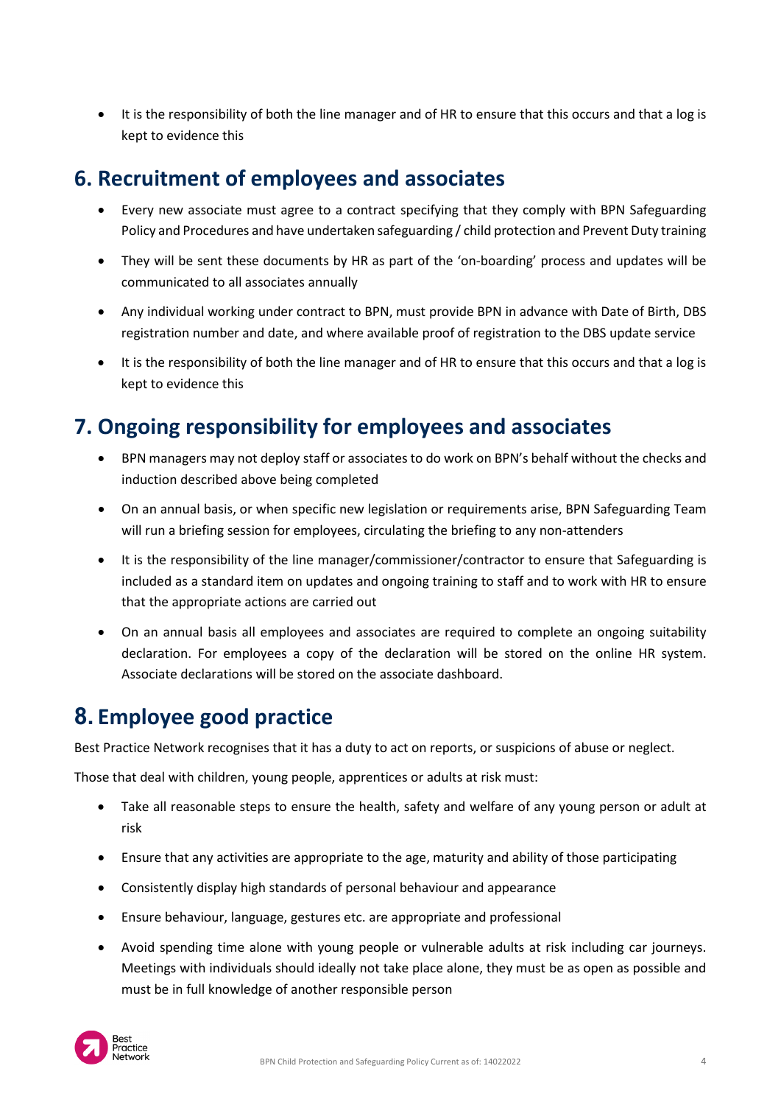• It is the responsibility of both the line manager and of HR to ensure that this occurs and that a log is kept to evidence this

#### <span id="page-3-0"></span>**6. Recruitment of employees and associates**

- Every new associate must agree to a contract specifying that they comply with BPN Safeguarding Policy and Procedures and have undertaken safeguarding / child protection and Prevent Duty training
- They will be sent these documents by HR as part of the 'on-boarding' process and updates will be communicated to all associates annually
- Any individual working under contract to BPN, must provide BPN in advance with Date of Birth, DBS registration number and date, and where available proof of registration to the DBS update service
- It is the responsibility of both the line manager and of HR to ensure that this occurs and that a log is kept to evidence this

### <span id="page-3-1"></span>**7. Ongoing responsibility for employees and associates**

- BPN managers may not deploy staff or associates to do work on BPN's behalf without the checks and induction described above being completed
- On an annual basis, or when specific new legislation or requirements arise, BPN Safeguarding Team will run a briefing session for employees, circulating the briefing to any non-attenders
- It is the responsibility of the line manager/commissioner/contractor to ensure that Safeguarding is included as a standard item on updates and ongoing training to staff and to work with HR to ensure that the appropriate actions are carried out
- On an annual basis all employees and associates are required to complete an ongoing suitability declaration. For employees a copy of the declaration will be stored on the online HR system. Associate declarations will be stored on the associate dashboard.

# <span id="page-3-2"></span>**8. Employee good practice**

Best Practice Network recognises that it has a duty to act on reports, or suspicions of abuse or neglect.

Those that deal with children, young people, apprentices or adults at risk must:

- Take all reasonable steps to ensure the health, safety and welfare of any young person or adult at risk
- Ensure that any activities are appropriate to the age, maturity and ability of those participating
- Consistently display high standards of personal behaviour and appearance
- Ensure behaviour, language, gestures etc. are appropriate and professional
- Avoid spending time alone with young people or vulnerable adults at risk including car journeys. Meetings with individuals should ideally not take place alone, they must be as open as possible and must be in full knowledge of another responsible person

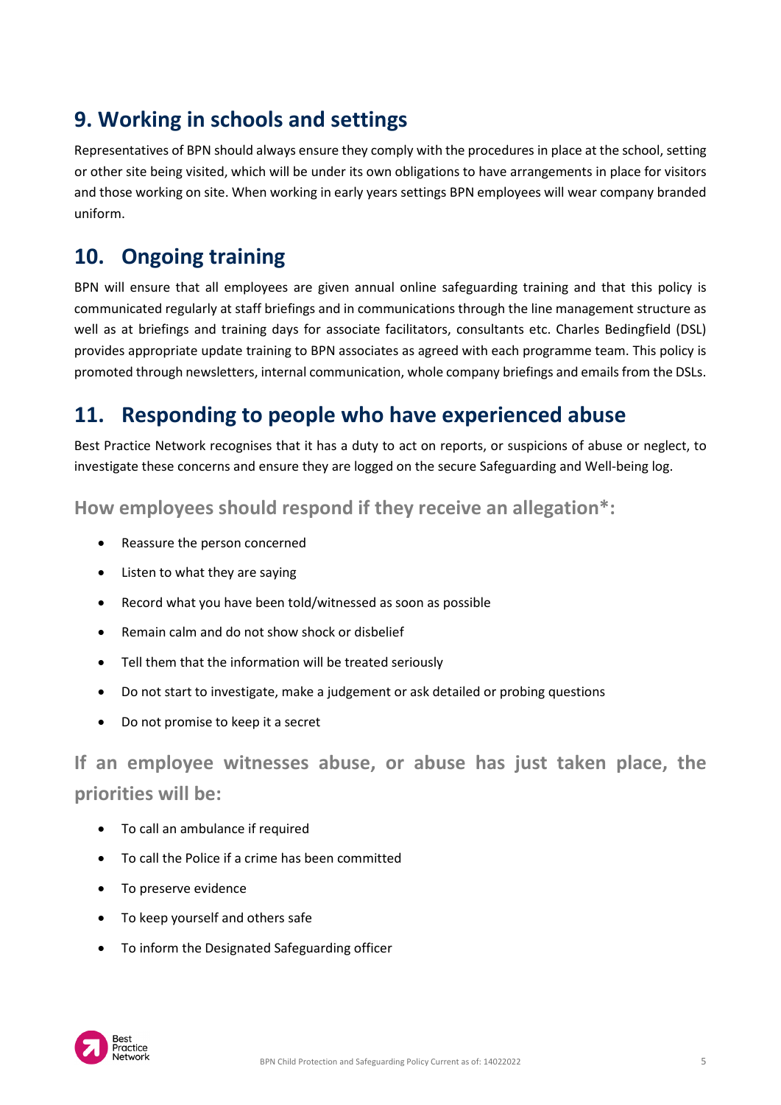# <span id="page-4-0"></span>**9. Working in schools and settings**

Representatives of BPN should always ensure they comply with the procedures in place at the school, setting or other site being visited, which will be under its own obligations to have arrangements in place for visitors and those working on site. When working in early years settings BPN employees will wear company branded uniform.

### <span id="page-4-1"></span>**10. Ongoing training**

BPN will ensure that all employees are given annual online safeguarding training and that this policy is communicated regularly at staff briefings and in communications through the line management structure as well as at briefings and training days for associate facilitators, consultants etc. Charles Bedingfield (DSL) provides appropriate update training to BPN associates as agreed with each programme team. This policy is promoted through newsletters, internal communication, whole company briefings and emails from the DSLs.

### <span id="page-4-2"></span>**11. Responding to people who have experienced abuse**

Best Practice Network recognises that it has a duty to act on reports, or suspicions of abuse or neglect, to investigate these concerns and ensure they are logged on the secure Safeguarding and Well-being log.

**How employees should respond if they receive an allegation\*:**

- Reassure the person concerned
- Listen to what they are saying
- Record what you have been told/witnessed as soon as possible
- Remain calm and do not show shock or disbelief
- Tell them that the information will be treated seriously
- Do not start to investigate, make a judgement or ask detailed or probing questions
- Do not promise to keep it a secret

**If an employee witnesses abuse, or abuse has just taken place, the priorities will be:**

- To call an ambulance if required
- To call the Police if a crime has been committed
- To preserve evidence
- To keep yourself and others safe
- To inform the Designated Safeguarding officer

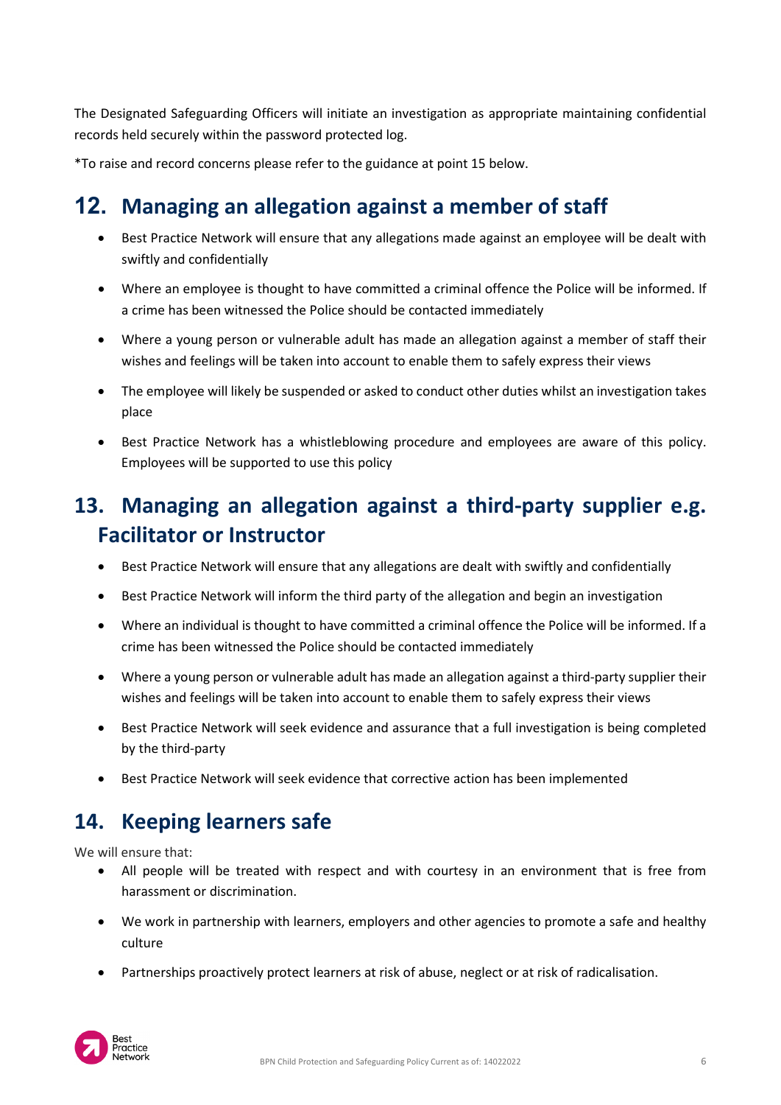The Designated Safeguarding Officers will initiate an investigation as appropriate maintaining confidential records held securely within the password protected log.

\*To raise and record concerns please refer to the guidance at point 15 below.

### <span id="page-5-0"></span>**12. Managing an allegation against a member of staff**

- Best Practice Network will ensure that any allegations made against an employee will be dealt with swiftly and confidentially
- Where an employee is thought to have committed a criminal offence the Police will be informed. If a crime has been witnessed the Police should be contacted immediately
- Where a young person or vulnerable adult has made an allegation against a member of staff their wishes and feelings will be taken into account to enable them to safely express their views
- The employee will likely be suspended or asked to conduct other duties whilst an investigation takes place
- Best Practice Network has a whistleblowing procedure and employees are aware of this policy. Employees will be supported to use this policy

# <span id="page-5-1"></span>**13. Managing an allegation against a third-party supplier e.g. Facilitator or Instructor**

- Best Practice Network will ensure that any allegations are dealt with swiftly and confidentially
- Best Practice Network will inform the third party of the allegation and begin an investigation
- Where an individual is thought to have committed a criminal offence the Police will be informed. If a crime has been witnessed the Police should be contacted immediately
- Where a young person or vulnerable adult has made an allegation against a third-party supplier their wishes and feelings will be taken into account to enable them to safely express their views
- Best Practice Network will seek evidence and assurance that a full investigation is being completed by the third-party
- Best Practice Network will seek evidence that corrective action has been implemented

# <span id="page-5-2"></span>**14. Keeping learners safe**

We will ensure that:

- All people will be treated with respect and with courtesy in an environment that is free from harassment or discrimination.
- We work in partnership with learners, employers and other agencies to promote a safe and healthy culture
- Partnerships proactively protect learners at risk of abuse, neglect or at risk of radicalisation.

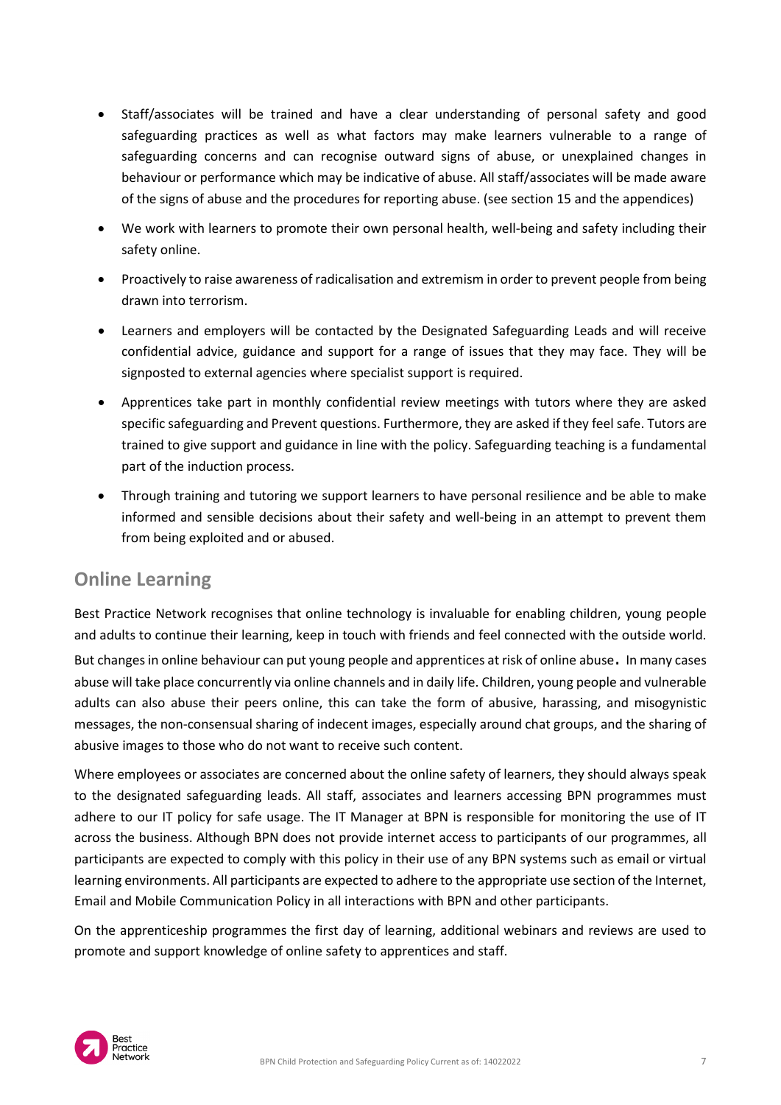- Staff/associates will be trained and have a clear understanding of personal safety and good safeguarding practices as well as what factors may make learners vulnerable to a range of safeguarding concerns and can recognise outward signs of abuse, or unexplained changes in behaviour or performance which may be indicative of abuse. All staff/associates will be made aware of the signs of abuse and the procedures for reporting abuse. (see section 15 and the appendices)
- We work with learners to promote their own personal health, well-being and safety including their safety online.
- Proactively to raise awareness of radicalisation and extremism in order to prevent people from being drawn into terrorism.
- Learners and employers will be contacted by the Designated Safeguarding Leads and will receive confidential advice, guidance and support for a range of issues that they may face. They will be signposted to external agencies where specialist support is required.
- Apprentices take part in monthly confidential review meetings with tutors where they are asked specific safeguarding and Prevent questions. Furthermore, they are asked if they feel safe. Tutors are trained to give support and guidance in line with the policy. Safeguarding teaching is a fundamental part of the induction process.
- Through training and tutoring we support learners to have personal resilience and be able to make informed and sensible decisions about their safety and well-being in an attempt to prevent them from being exploited and or abused.

#### **Online Learning**

Best Practice Network recognises that online technology is invaluable for enabling children, young people and adults to continue their learning, keep in touch with friends and feel connected with the outside world.

But changes in online behaviour can put young people and apprentices at risk of online abuse. In many cases abuse will take place concurrently via online channels and in daily life. Children, young people and vulnerable adults can also abuse their peers online, this can take the form of abusive, harassing, and misogynistic messages, the non-consensual sharing of indecent images, especially around chat groups, and the sharing of abusive images to those who do not want to receive such content.

Where employees or associates are concerned about the online safety of learners, they should always speak to the designated safeguarding leads. All staff, associates and learners accessing BPN programmes must adhere to our IT policy for safe usage. The IT Manager at BPN is responsible for monitoring the use of IT across the business. Although BPN does not provide internet access to participants of our programmes, all participants are expected to comply with this policy in their use of any BPN systems such as email or virtual learning environments. All participants are expected to adhere to the appropriate use section of the Internet, Email and Mobile Communication Policy in all interactions with BPN and other participants.

On the apprenticeship programmes the first day of learning, additional webinars and reviews are used to promote and support knowledge of online safety to apprentices and staff.

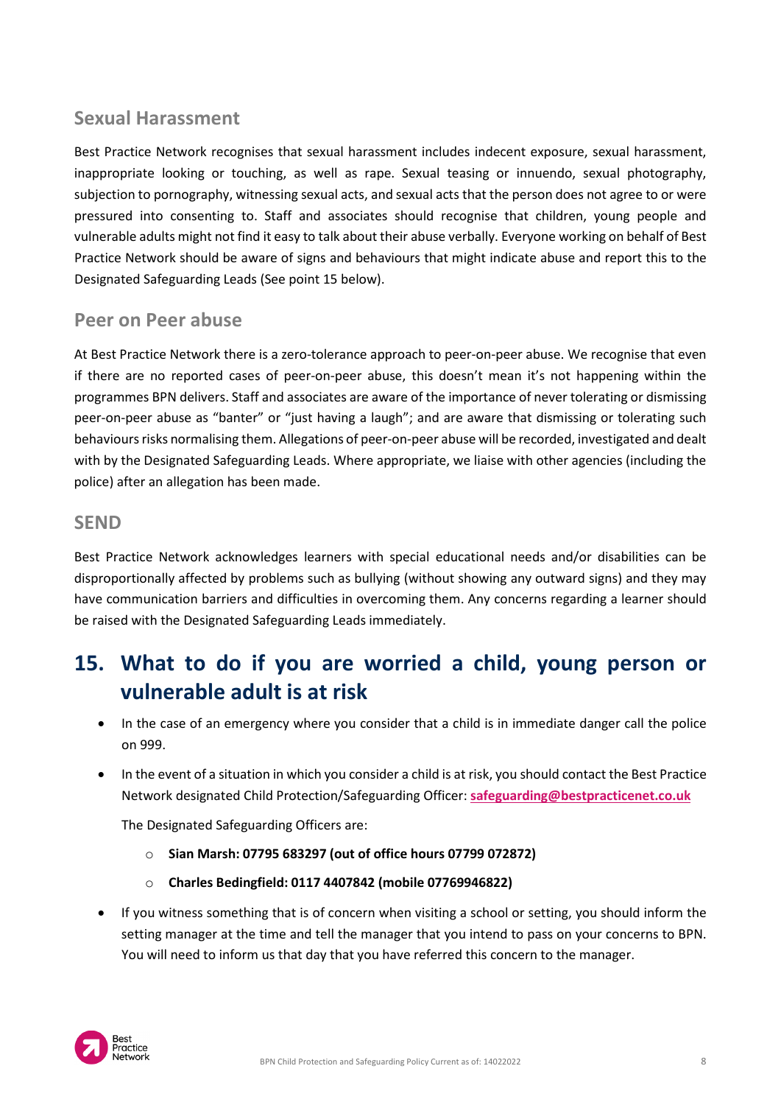#### **Sexual Harassment**

Best Practice Network recognises that sexual harassment includes indecent exposure, sexual harassment, inappropriate looking or touching, as well as rape. Sexual teasing or innuendo, sexual photography, subjection to pornography, witnessing sexual acts, and sexual acts that the person does not agree to or were pressured into consenting to. Staff and associates should recognise that children, young people and vulnerable adults might not find it easy to talk about their abuse verbally. Everyone working on behalf of Best Practice Network should be aware of signs and behaviours that might indicate abuse and report this to the Designated Safeguarding Leads (See point 15 below).

#### **Peer on Peer abuse**

At Best Practice Network there is a zero-tolerance approach to peer-on-peer abuse. We recognise that even if there are no reported cases of peer-on-peer abuse, this doesn't mean it's not happening within the programmes BPN delivers. Staff and associates are aware of the importance of never tolerating or dismissing peer-on-peer abuse as "banter" or "just having a laugh"; and are aware that dismissing or tolerating such behaviours risks normalising them. Allegations of peer-on-peer abuse will be recorded, investigated and dealt with by the Designated Safeguarding Leads. Where appropriate, we liaise with other agencies (including the police) after an allegation has been made.

#### **SEND**

Best Practice Network acknowledges learners with special educational needs and/or disabilities can be disproportionally affected by problems such as bullying (without showing any outward signs) and they may have communication barriers and difficulties in overcoming them. Any concerns regarding a learner should be raised with the Designated Safeguarding Leads immediately.

#### <span id="page-7-0"></span>**15. What to do if you are worried a child, young person or vulnerable adult is at risk**

- In the case of an emergency where you consider that a child is in immediate danger call the police on 999.
- In the event of a situation in which you consider a child is at risk, you should contact the Best Practice Network designated Child Protection/Safeguarding Officer: **[safeguarding@bestpracticenet.co.uk](mailto:safeguarding@bestpracticenet.co.uk)**

The Designated Safeguarding Officers are:

- o **Sian Marsh: 07795 683297 (out of office hours 07799 072872)**
- o **Charles Bedingfield: 0117 4407842 (mobile 07769946822)**
- If you witness something that is of concern when visiting a school or setting, you should inform the setting manager at the time and tell the manager that you intend to pass on your concerns to BPN. You will need to inform us that day that you have referred this concern to the manager.

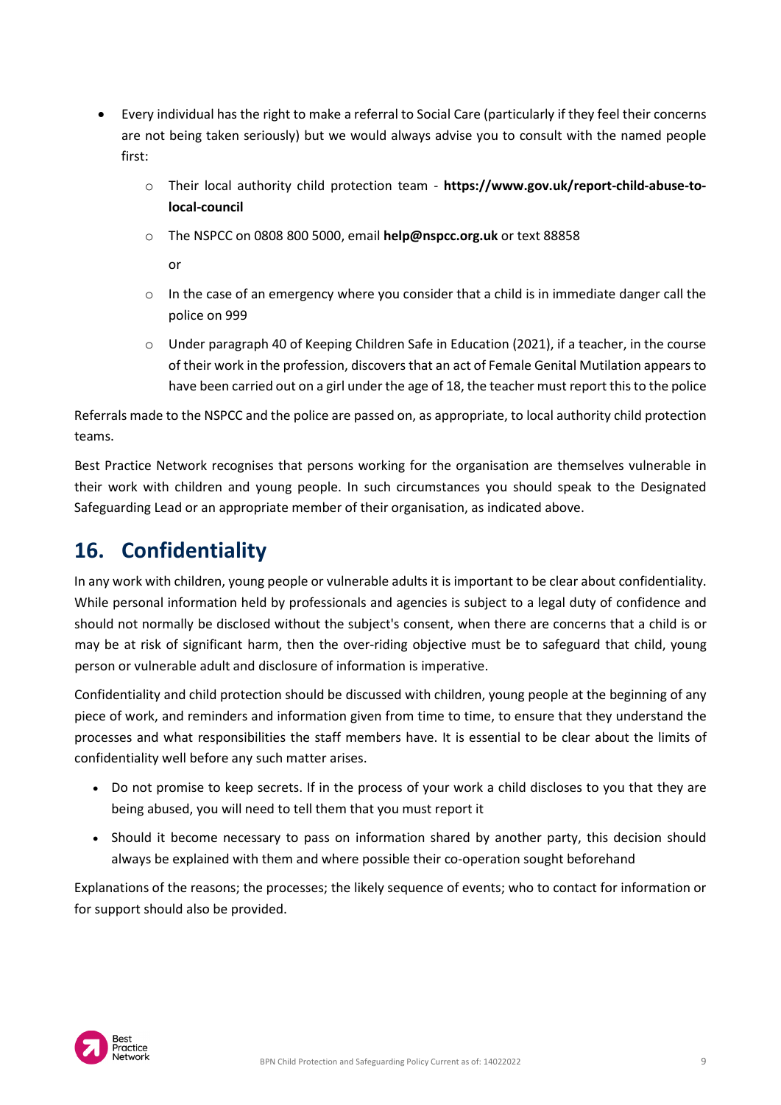- Every individual has the right to make a referral to Social Care (particularly if they feel their concerns are not being taken seriously) but we would always advise you to consult with the named people first:
	- o Their local authority child protection team **[https://www.gov.uk/report-child-abuse-to](https://www.gov.uk/report-child-abuse-to-local-council)[local-council](https://www.gov.uk/report-child-abuse-to-local-council)**
	- o The NSPCC on 0808 800 5000, email **[help@nspcc.org.uk](mailto:help@nspcc.org.uk)** or text 88858

or

- $\circ$  In the case of an emergency where you consider that a child is in immediate danger call the police on 999
- $\circ$  Under paragraph 40 of Keeping Children Safe in Education (2021), if a teacher, in the course of their work in the profession, discovers that an act of Female Genital Mutilation appears to have been carried out on a girl under the age of 18, the teacher must report this to the police

Referrals made to the NSPCC and the police are passed on, as appropriate, to local authority child protection teams.

Best Practice Network recognises that persons working for the organisation are themselves vulnerable in their work with children and young people. In such circumstances you should speak to the Designated Safeguarding Lead or an appropriate member of their organisation, as indicated above.

# <span id="page-8-0"></span>**16. Confidentiality**

In any work with children, young people or vulnerable adults it is important to be clear about confidentiality. While personal information held by professionals and agencies is subject to a legal duty of confidence and should not normally be disclosed without the subject's consent, when there are concerns that a child is or may be at risk of significant harm, then the over-riding objective must be to safeguard that child, young person or vulnerable adult and disclosure of information is imperative.

Confidentiality and child protection should be discussed with children, young people at the beginning of any piece of work, and reminders and information given from time to time, to ensure that they understand the processes and what responsibilities the staff members have. It is essential to be clear about the limits of confidentiality well before any such matter arises.

- Do not promise to keep secrets. If in the process of your work a child discloses to you that they are being abused, you will need to tell them that you must report it
- Should it become necessary to pass on information shared by another party, this decision should always be explained with them and where possible their co-operation sought beforehand

Explanations of the reasons; the processes; the likely sequence of events; who to contact for information or for support should also be provided.

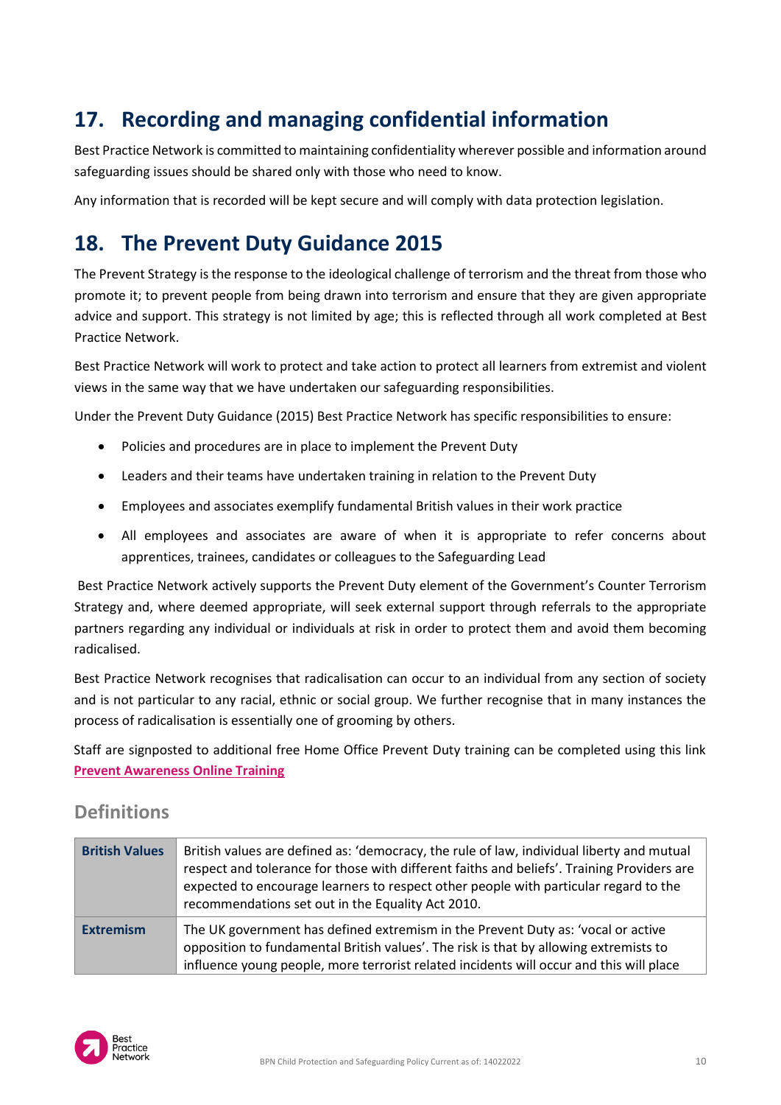# <span id="page-9-0"></span>**17. Recording and managing confidential information**

Best Practice Network is committed to maintaining confidentiality wherever possible and information around safeguarding issues should be shared only with those who need to know.

Any information that is recorded will be kept secure and will comply with data protection legislation.

#### <span id="page-9-1"></span>**18. The Prevent Duty Guidance 2015**

The Prevent Strategy is the response to the ideological challenge of terrorism and the threat from those who promote it; to prevent people from being drawn into terrorism and ensure that they are given appropriate advice and support. This strategy is not limited by age; this is reflected through all work completed at Best Practice Network.

Best Practice Network will work to protect and take action to protect all learners from extremist and violent views in the same way that we have undertaken our safeguarding responsibilities.

Under the Prevent Duty Guidance (2015) Best Practice Network has specific responsibilities to ensure:

- Policies and procedures are in place to implement the Prevent Duty
- Leaders and their teams have undertaken training in relation to the Prevent Duty
- Employees and associates exemplify fundamental British values in their work practice
- All employees and associates are aware of when it is appropriate to refer concerns about apprentices, trainees, candidates or colleagues to the Safeguarding Lead

Best Practice Network actively supports the Prevent Duty element of the Government's Counter Terrorism Strategy and, where deemed appropriate, will seek external support through referrals to the appropriate partners regarding any individual or individuals at risk in order to protect them and avoid them becoming radicalised.

Best Practice Network recognises that radicalisation can occur to an individual from any section of society and is not particular to any racial, ethnic or social group. We further recognise that in many instances the process of radicalisation is essentially one of grooming by others.

Staff are signposted to additional free Home Office Prevent Duty training can be completed using this link **Prevent [Awareness](https://www.elearning.prevent.homeoffice.gov.uk/la2/screen1.html) Online Training**

#### **Definitions**

| <b>British Values</b> | British values are defined as: 'democracy, the rule of law, individual liberty and mutual<br>respect and tolerance for those with different faiths and beliefs'. Training Providers are<br>expected to encourage learners to respect other people with particular regard to the<br>recommendations set out in the Equality Act 2010. |
|-----------------------|--------------------------------------------------------------------------------------------------------------------------------------------------------------------------------------------------------------------------------------------------------------------------------------------------------------------------------------|
| <b>Extremism</b>      | The UK government has defined extremism in the Prevent Duty as: 'vocal or active<br>opposition to fundamental British values'. The risk is that by allowing extremists to<br>influence young people, more terrorist related incidents will occur and this will place                                                                 |

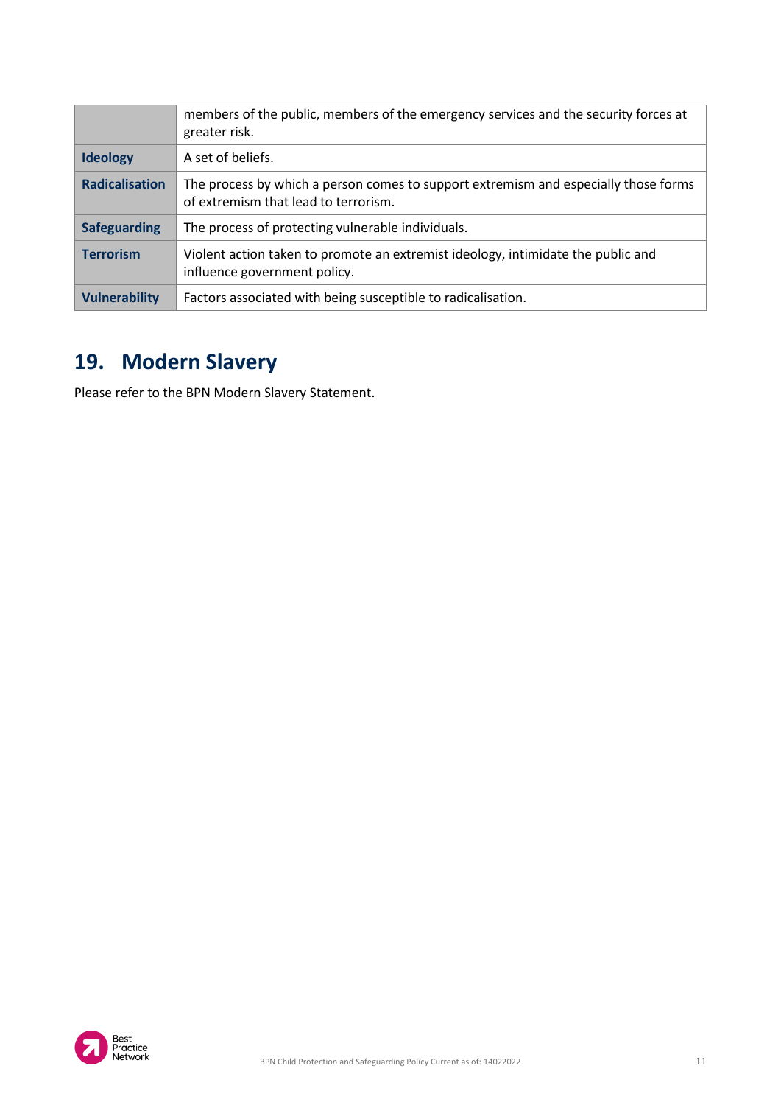|                       | members of the public, members of the emergency services and the security forces at<br>greater risk.                        |
|-----------------------|-----------------------------------------------------------------------------------------------------------------------------|
| <b>Ideology</b>       | A set of beliefs.                                                                                                           |
| <b>Radicalisation</b> | The process by which a person comes to support extremism and especially those forms<br>of extremism that lead to terrorism. |
| <b>Safeguarding</b>   | The process of protecting vulnerable individuals.                                                                           |
| Terrorism             | Violent action taken to promote an extremist ideology, intimidate the public and<br>influence government policy.            |
| <b>Vulnerability</b>  | Factors associated with being susceptible to radicalisation.                                                                |

# <span id="page-10-0"></span>**19. Modern Slavery**

Please refer to the BPN Modern Slavery Statement.

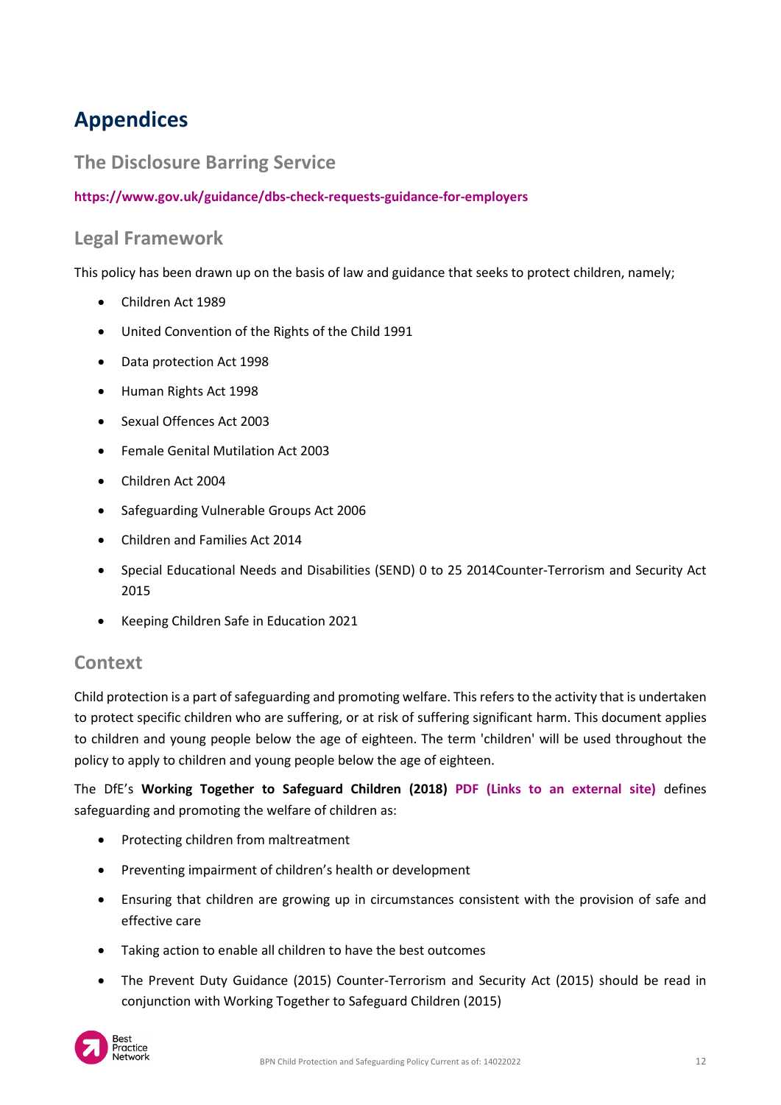# <span id="page-11-0"></span>**Appendices**

#### <span id="page-11-1"></span>**The Disclosure Barring Service**

#### **<https://www.gov.uk/guidance/dbs-check-requests-guidance-for-employers>**

#### <span id="page-11-2"></span>**Legal Framework**

This policy has been drawn up on the basis of law and guidance that seeks to protect children, namely;

- Children Act 1989
- United Convention of the Rights of the Child 1991
- Data protection Act 1998
- Human Rights Act 1998
- Sexual Offences Act 2003
- Female Genital Mutilation Act 2003
- Children Act 2004
- Safeguarding Vulnerable Groups Act 2006
- Children and Families Act 2014
- Special Educational Needs and Disabilities (SEND) 0 to 25 2014Counter-Terrorism and Security Act 2015
- Keeping Children Safe in Education 2021

#### <span id="page-11-3"></span>**Context**

Child protection is a part of safeguarding and promoting welfare. This refers to the activity that is undertaken to protect specific children who are suffering, or at risk of suffering significant harm. This document applies to children and young people below the age of eighteen. The term 'children' will be used throughout the policy to apply to children and young people below the age of eighteen.

The DfE's **Working Together to Safeguard Children (2018) PDF (Links to an [external](https://www.gov.uk/government/publications/working-together-to-safeguard-children--2) site)** defines safeguarding and promoting the welfare of children as:

- Protecting children from maltreatment
- Preventing impairment of children's health or development
- Ensuring that children are growing up in circumstances consistent with the provision of safe and effective care
- Taking action to enable all children to have the best outcomes
- The Prevent Duty Guidance (2015) Counter-Terrorism and Security Act (2015) should be read in conjunction with Working Together to Safeguard Children (2015)

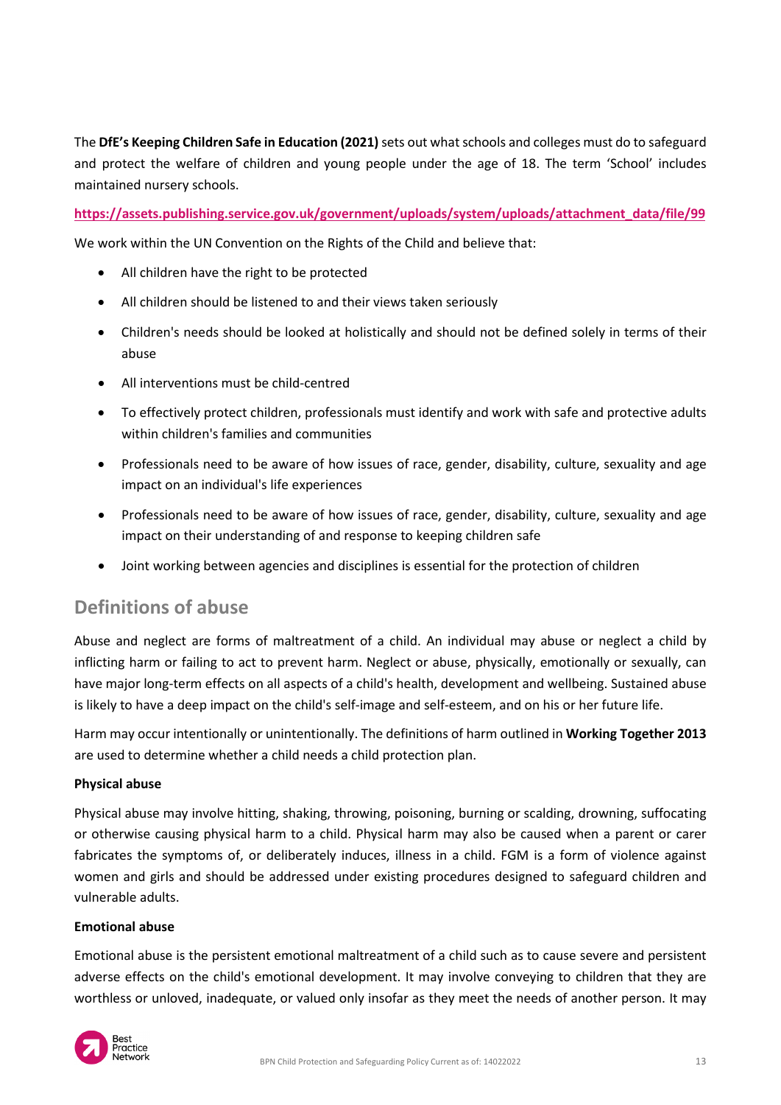The **DfE's Keeping Children Safe in Education (2021)**sets out whatschools and colleges must do to safeguard and protect the welfare of children and young people under the age of 18. The term 'School' includes maintained nursery schools.

**[https://assets.publishing.service.gov.uk/government/uploads/system/uploads/attachment\\_data/file/99](https://assets.publishing.service.gov.uk/government/uploads/system/uploads/attachment_data/file/99)**

We work within the UN Convention on the Rights of the Child and believe that:

- All children have the right to be protected
- All children should be listened to and their views taken seriously
- Children's needs should be looked at holistically and should not be defined solely in terms of their abuse
- All interventions must be child-centred
- To effectively protect children, professionals must identify and work with safe and protective adults within children's families and communities
- Professionals need to be aware of how issues of race, gender, disability, culture, sexuality and age impact on an individual's life experiences
- Professionals need to be aware of how issues of race, gender, disability, culture, sexuality and age impact on their understanding of and response to keeping children safe
- Joint working between agencies and disciplines is essential for the protection of children

#### <span id="page-12-0"></span>**Definitions of abuse**

Abuse and neglect are forms of maltreatment of a child. An individual may abuse or neglect a child by inflicting harm or failing to act to prevent harm. Neglect or abuse, physically, emotionally or sexually, can have major long-term effects on all aspects of a child's health, development and wellbeing. Sustained abuse is likely to have a deep impact on the child's self-image and self-esteem, and on his or her future life.

Harm may occur intentionally or unintentionally. The definitions of harm outlined in **Working Together 2013** are used to determine whether a child needs a child protection plan.

#### **Physical abuse**

Physical abuse may involve hitting, shaking, throwing, poisoning, burning or scalding, drowning, suffocating or otherwise causing physical harm to a child. Physical harm may also be caused when a parent or carer fabricates the symptoms of, or deliberately induces, illness in a child. FGM is a form of violence against women and girls and should be addressed under existing procedures designed to safeguard children and vulnerable adults.

#### **Emotional abuse**

Emotional abuse is the persistent emotional maltreatment of a child such as to cause severe and persistent adverse effects on the child's emotional development. It may involve conveying to children that they are worthless or unloved, inadequate, or valued only insofar as they meet the needs of another person. It may

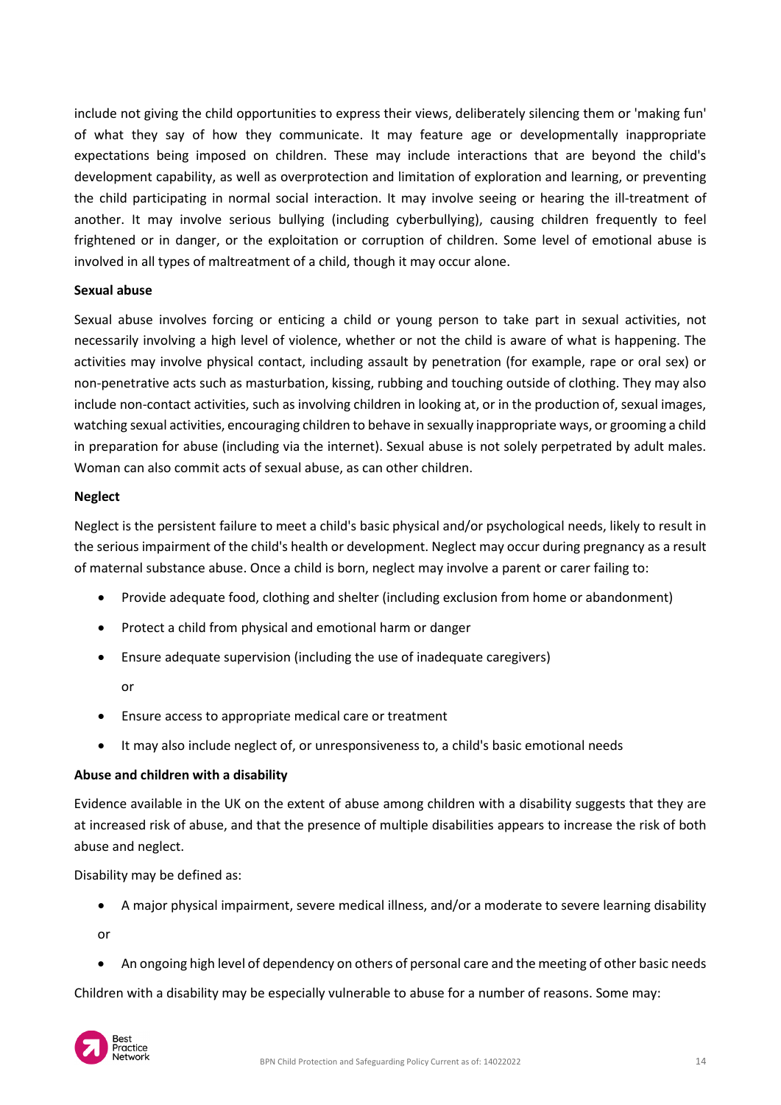include not giving the child opportunities to express their views, deliberately silencing them or 'making fun' of what they say of how they communicate. It may feature age or developmentally inappropriate expectations being imposed on children. These may include interactions that are beyond the child's development capability, as well as overprotection and limitation of exploration and learning, or preventing the child participating in normal social interaction. It may involve seeing or hearing the ill-treatment of another. It may involve serious bullying (including cyberbullying), causing children frequently to feel frightened or in danger, or the exploitation or corruption of children. Some level of emotional abuse is involved in all types of maltreatment of a child, though it may occur alone.

#### **Sexual abuse**

Sexual abuse involves forcing or enticing a child or young person to take part in sexual activities, not necessarily involving a high level of violence, whether or not the child is aware of what is happening. The activities may involve physical contact, including assault by penetration (for example, rape or oral sex) or non-penetrative acts such as masturbation, kissing, rubbing and touching outside of clothing. They may also include non-contact activities, such as involving children in looking at, or in the production of, sexual images, watching sexual activities, encouraging children to behave in sexually inappropriate ways, or grooming a child in preparation for abuse (including via the internet). Sexual abuse is not solely perpetrated by adult males. Woman can also commit acts of sexual abuse, as can other children.

#### **Neglect**

Neglect is the persistent failure to meet a child's basic physical and/or psychological needs, likely to result in the serious impairment of the child's health or development. Neglect may occur during pregnancy as a result of maternal substance abuse. Once a child is born, neglect may involve a parent or carer failing to:

- Provide adequate food, clothing and shelter (including exclusion from home or abandonment)
- Protect a child from physical and emotional harm or danger
- Ensure adequate supervision (including the use of inadequate caregivers)

or

- Ensure access to appropriate medical care or treatment
- It may also include neglect of, or unresponsiveness to, a child's basic emotional needs

#### **Abuse and children with a disability**

Evidence available in the UK on the extent of abuse among children with a disability suggests that they are at increased risk of abuse, and that the presence of multiple disabilities appears to increase the risk of both abuse and neglect.

Disability may be defined as:

• A major physical impairment, severe medical illness, and/or a moderate to severe learning disability

or

• An ongoing high level of dependency on others of personal care and the meeting of other basic needs

Children with a disability may be especially vulnerable to abuse for a number of reasons. Some may: